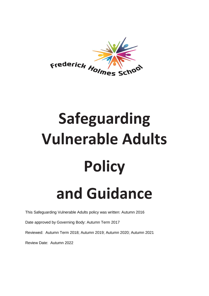

# **Safeguarding Vulnerable Adults Policy and Guidance**

This Safeguarding Vulnerable Adults policy was written: Autumn 2016

Date approved by Governing Body: Autumn Term 2017

Reviewed: Autumn Term 2018; Autumn 2019; Autumn 2020; Autumn 2021

Review Date: Autumn 2022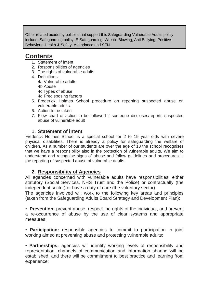Other related academy policies that support this Safeguarding Vulnerable Adults policy include: Safeguarding policy, E-Safeguarding, Whistle Blowing, Anti Bullying, Positive Behaviour, Health & Safety, Attendance and SEN.

# **Contents**

- 1. Statement of intent
- 2. Responsibilities of agencies
- 3. The rights of vulnerable adults
- 4. Definitions: 4a Vulnerable adults 4b Abuse 4c Types of abuse 4d Predisposing factors
- 5. Frederick Holmes School procedure on reporting suspected abuse on vulnerable adults.
- 6. Action to be taken
- 7. Flow chart of action to be followed if someone discloses/reports suspected abuse of vulnerable adult

# **1. Statement of intent**

Frederick Holmes School is a special school for 2 to 19 year olds with severe physical disabilities. There is already a policy for safeguarding the welfare of children. As a number of our students are over the age of 18 the school recognises that we have a responsibility also in the protection of vulnerable adults. We aim to understand and recognise signs of abuse and follow guidelines and procedures in the reporting of suspected abuse of vulnerable adults.

# **2. Responsibility of Agencies**

All agencies concerned with vulnerable adults have responsibilities, either statutory (Social Services, NHS Trust and the Police) or contractually (the independent sector) or have a duty of care (the voluntary sector).

The agencies involved will work to the following key areas and principles (taken from the Safeguarding Adults Board Strategy and Development Plan);

• **Prevention:** prevent abuse, respect the rights of the individual, and prevent a re-occurrence of abuse by the use of clear systems and appropriate measures;

• **Participation:** responsible agencies to commit to participation in joint working aimed at preventing abuse and protecting vulnerable adults;

• **Partnerships:** agencies will identify working levels of responsibility and representation, channels of communication and information sharing will be established, and there will be commitment to best practice and learning from experience;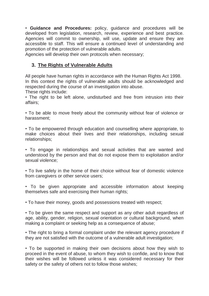• **Guidance and Procedures:** policy, guidance and procedures will be developed from legislation, research, review, experience and best practice. Agencies will commit to ownership, will use, update and ensure they are accessible to staff. This will ensure a continued level of understanding and promotion of the protection of vulnerable adults.

Agencies will develop their own protocols when necessary;

# **3. The Rights of Vulnerable Adults**

All people have human rights in accordance with the Human Rights Act 1998. In this context the rights of vulnerable adults should be acknowledged and respected during the course of an investigation into abuse.

These rights include:

• The right to be left alone, undisturbed and free from intrusion into their affairs;

• To be able to move freely about the community without fear of violence or harassment;

• To be empowered through education and counselling where appropriate, to make choices about their lives and their relationships, including sexual relationships;

• To engage in relationships and sexual activities that are wanted and understood by the person and that do not expose them to exploitation and/or sexual violence;

• To live safely in the home of their choice without fear of domestic violence from caregivers or other service users;

• To be given appropriate and accessible information about keeping themselves safe and exercising their human rights;

• To have their money, goods and possessions treated with respect;

• To be given the same respect and support as any other adult regardless of age, ability, gender, religion, sexual orientation or cultural background, when making a complaint or seeking help as a consequence of abuse;

• The right to bring a formal complaint under the relevant agency procedure if they are not satisfied with the outcome of a vulnerable adult investigation;

• To be supported in making their own decisions about how they wish to proceed in the event of abuse, to whom they wish to confide, and to know that their wishes will be followed unless it was considered necessary for their safety or the safety of others not to follow those wishes;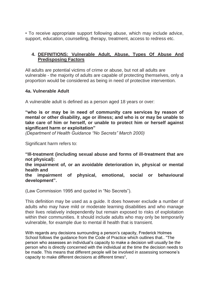• To receive appropriate support following abuse, which may include advice, support, education, counselling, therapy, treatment, access to redress etc.

# **4. DEFINITIONS: Vulnerable Adult, Abuse, Types Of Abuse And Predisposing Factors**

All adults are potential victims of crime or abuse, but not all adults are vulnerable - the majority of adults are capable of protecting themselves, only a proportion would be considered as being in need of protective intervention.

## **4a. Vulnerable Adult**

A vulnerable adult is defined as a person aged 18 years or over:

**"who is or may be in need of community care services by reason of mental or other disability, age or illness; and who is or may be unable to take care of him or herself, or unable to protect him or herself against significant harm or exploitation"**

*(Department of Health Guidance "No Secrets" March 2000)*

Significant harm refers to:

**"Ill-treatment (including sexual abuse and forms of ill-treatment that are not physical):**

**the impairment of, or an avoidable deterioration in, physical or mental health and**

**the impairment of physical, emotional, social or behavioural development".**

(Law Commission 1995 and quoted in "No Secrets").

This definition may be used as a guide. It does however exclude a number of adults who may have mild or moderate learning disabilities and who manage their lives relatively independently but remain exposed to risks of exploitation within their communities. It should include adults who may only be temporarily vulnerable, for example due to mental ill health that is transient.

With regards any decisions surrounding a person's capacity, Frederick Holmes School follows the guidance from the Code of Practice which outlines that.. "The person who assesses an individual's capacity to make a decision will usually be the person who is directly concerned with the individual at the time the decision needs to be made. This means that different people will be involved in assessing someone's capacity to make different decisions at different times",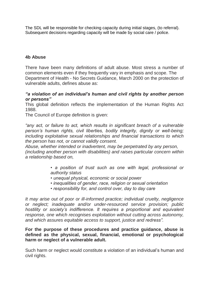The SDL will be responsible for checking capacity during initial stages, (to referral). Subsequent decisions regarding capacity will be made by social care / police.

#### **4b Abuse**

There have been many definitions of adult abuse. Most stress a number of common elements even if they frequently vary in emphasis and scope. The Department of Health - No Secrets Guidance, March 2000 on the protection of vulnerable adults, defines abuse as:

#### *"a violation of an individual's human and civil rights by another person or persons"*

This global definition reflects the implementation of the Human Rights Act 1988.

The Council of Europe definition is given:

*"any act, or failure to act, which results in significant breach of a vulnerable person's human rights, civil liberties, bodily integrity, dignity or well-being; including exploitative sexual relationships and financial transactions to which the person has not, or cannot validly consent.*

*Abuse, whether intended or inadvertent, may be perpetrated by any person, (including another person with disabilities) and raises particular concern within a relationship based on,*

> *• a position of trust such as one with legal, professional or authority status*

- *unequal physical, economic or social power*
- *inequalities of gender, race, religion or sexual orientation*
- *responsibility for, and control over, day to day care*

*It may arise out of poor or ill-informed practice; individual cruelty, negligence or neglect; inadequate and/or under-resourced service provision; public hostility or society's indifference. It requires a proportional and equivalent response, one which recognises exploitation without cutting across autonomy, and which assures equitable access to support, justice and redress".*

#### **For the purpose of these procedures and practice guidance, abuse is defined as the physical, sexual, financial, emotional or psychological harm or neglect of a vulnerable adult.**

Such harm or neglect would constitute a violation of an individual's human and civil rights.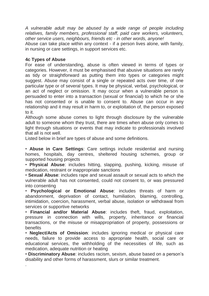*A vulnerable adult may be abused by a wide range of people including relatives, family members, professional staff, paid care workers, volunteers, other service users, neighbours, friends etc - in other words, anyone!* Abuse can take place within any context - if a person lives alone, with family, in nursing or care settings, in support services etc.

#### **4c Types of Abuse**

.

For ease of understanding, abuse is often viewed in terms of types or categories. However, it must be emphasised that abusive situations are rarely as tidy or straightforward as putting them into types or categories might suggest. Abuse may consist of a single or repeated acts over time, of one particular type or of several types. It may be physical, verbal, psychological, or an act of neglect or omission. It may occur when a vulnerable person is persuaded to enter into a transaction (sexual or financial) to which he or she has not consented or is unable to consent to. Abuse can occur in any relationship and it may result in harm to, or exploitation of, the person exposed to it.

Although some abuse comes to light through disclosure by the vulnerable adult to someone whom they trust, there are times when abuse only comes to light through situations or events that may indicate to professionals involved that all is not well.

Listed below in brief are types of abuse and some definitions.

• **Abuse in Care Settings**: Care settings include residential and nursing homes, hospitals, day centres, sheltered housing schemes, group or supported housing projects

• **Physical Abuse**: includes hitting, slapping, pushing, kicking, misuse of medication, restraint or inappropriate sanctions

• **Sexual Abuse**: includes rape and sexual assault or sexual acts to which the vulnerable adult has not consented, could not consent to, or was pressured into consenting

• **Psychological or Emotional Abuse**: includes threats of harm or abandonment, deprivation of contact, humiliation, blaming, controlling, intimidation, coercion, harassment, verbal abuse, isolation or withdrawal from services or supportive networks

• **Financial and/or Material Abuse**: includes theft, fraud, exploitation, pressure in connection with wills, property, inheritance or financial transactions, or the misuse or misappropriation of property, possessions or benefits

• **Neglect/Acts of Omission**: includes ignoring medical or physical care needs, failure to provide access to appropriate health, social care or educational services, the withholding of the necessities of life, such as medication, adequate nutrition or heating

• **Discriminatory Abuse**: includes racism, sexism, abuse based on a person's disability and other forms of harassment, slurs or similar treatment.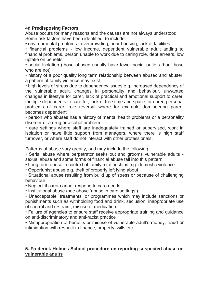# **4d Predisposing Factors**

Abuse occurs for many reasons and the causes are not always understood. Some risk factors have been identified, to include:

• environmental problems - overcrowding, poor housing, lack of facilities

• financial problems - low income, dependent vulnerable adult adding to financial problems, person unable to work due to caring role, debt arrears, low uptake on benefits

• social Isolation (those abused usually have fewer social outlets than those who are not)

• history of a poor quality long term relationship between abused and abuser, a pattern of family violence may exist

• high levels of stress due to dependency issues e.g. increased dependency of the vulnerable adult, changes in personality and behaviour, unwanted changes in lifestyle for carer, lack of practical and emotional support to carer, multiple dependents to care for, lack of free time and space for carer, personal problems of carer, role reversal where for example domineering parent becomes dependent

• person who abuses has a history of mental health problems or a personality disorder or a drug or alcohol problem

• care settings where staff are inadequately trained or supervised, work in isolation or have little support from managers, where there is high staff turnover, or where staff do not interact with other professionals.

Patterns of abuse vary greatly, and may include the following:

• Serial abuse where perpetrator seeks out and grooms vulnerable adults sexual abuse and some forms of financial abuse fall into this pattern

• Long term abuse in context of family relationships e.g. domestic violence

• Opportunist abuse e.g. theft of property left lying about

• Situational abuse resulting from build up of stress or because of challenging behaviour

• Neglect if carer cannot respond to care needs

• Institutional abuse (see above 'abuse in care settings')

• Unacceptable `treatments` or programmes which may include sanctions or punishments such as withholding food and drink, seclusion, inappropriate use of control and restraint, misuse of medication

• Failure of agencies to ensure staff receive appropriate training and guidance on anti-discriminatory and anti-racist practice

• Misappropriation of benefits or misuse of vulnerable adult's money, fraud or intimidation with respect to finance, property, wills etc

## **5. Frederick Holmes School procedure on reporting suspected abuse on vulnerable adults**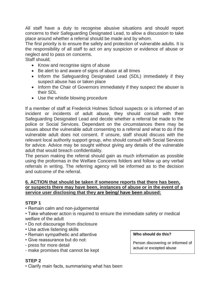All staff have a duty to recognise abusive situations and should report concerns to their Safeguarding Designated Lead, to allow a discussion to take place around whether a referral should be made and by whom.

The first priority is to ensure the safety and protection of vulnerable adults. It is the responsibility of all staff to act on any suspicion or evidence of abuse or neglect and to pass on concerns.

Staff should;

- Know and recognise signs of abuse
- Be alert to and aware of signs of abuse at all times
- Inform the Safeguarding Designated Lead (SDL) immediately if they suspect abuse has or taken place
- Inform the Chair of Governors immediately if they suspect the abuser is their SDL
- Use the whistle blowing procedure

If a member of staff at Frederick Holmes School suspects or is informed of an incident or incidents of adult abuse, they should consult with their Safeguarding Designated Lead and decide whether a referral be made to the police or Social Services. Dependant on the circumstances there may be issues about the vulnerable adult consenting to a referral and what to do if the vulnerable adult does not consent. If unsure, staff should discuss with the relevant local authority support group, who should consult with Social Services for advice. Advice may be sought without giving any details of the vulnerable adult that would breach confidentiality.

The person making the referral should gain as much information as possible using the proformas in the Welfare Concerns folders and follow up any verbal referrals in writing. The referring agency will be informed as to the decision and outcome of the referral.

#### **6. ACTION that should be taken if someone reports that there has been, or suspects there may have been, instances of abuse or in the event of a service user disclosing that they are being/ have been abused:**

## **STEP 1**

• Remain calm and non-judgemental

• Take whatever action is required to ensure the immediate safety or medical welfare of the adult

- Do not discourage from disclosure
- Use active listening skills
- Remain sympathetic and attentive
- Give reassurance but do not:
- press for more detail
- make promises that cannot be kept

**Who should do this?**

Person discovering or informed of actual or excepted abuse

# **STEP 2**

• Clarify main facts, summarising what has been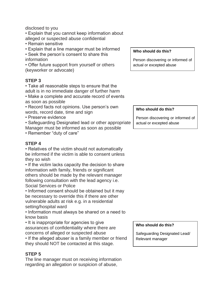disclosed to you

• Explain that you cannot keep information about alleged or suspected abuse confidential

- Remain sensitive
- Explain that a line manager must be informed

• Seek the person's consent to share this information

• Offer future support from yourself or others (keyworker or advocate)

#### **STEP 3**

• Take all reasonable steps to ensure that the adult is in no immediate danger of further harm

- Make a complete and accurate record of events as soon as possible
- Record facts not opinions. Use person's own words, record date, time and sign
- Preserve evidence

• Safeguarding Designated lead or other appropriate Manager must be informed as soon as possible

• Remember "duty of care"

#### **STEP 4**

• Relatives of the victim should not automatically be informed if the victim is able to consent unless they so wish

• If the victim lacks capacity the decision to share information with family, friends or significant others should be made by the relevant manager following consultation with the lead agency i.e. Social Services or Police

• Informed consent should be obtained but it may be necessary to override this if there are other vulnerable adults at risk e.g. in a residential setting/hospital ward

• Information must always be shared on a need to know basis

• It is inappropriate for agencies to give assurances of confidentiality where there are concerns of alleged or suspected abuse

• If the alleged abuser is a family member or friend they should NOT be contacted at this stage.

## **STEP 5**

The line manager must on receiving information regarding an allegation or suspicion of abuse,

#### **Who should do this?**

Person discovering or informed of actual or excepted abuse

#### **Who should do this?**

Person discovering or informed of actual or excepted abuse

#### **Who should do this?**

Safeguarding Designated Lead/ Relevant manager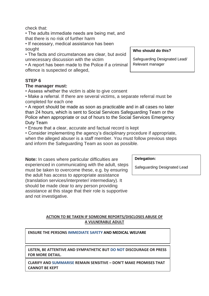check that:

• The adults immediate needs are being met, and that there is no risk of further harm

• If necessary, medical assistance has been sought

• The facts and circumstances are clear, but avoid unnecessary discussion with the victim

• A report has been made to the Police if a criminal offence is suspected or alleged,

## **STEP 6**

#### **The manager must:**

• Assess whether the victim is able to give consent

• Make a referral. If there are several victims, a separate referral must be completed for each one

• A report should be made as soon as practicable and in all cases no later than 24 hours, which is sent to Social Services Safeguarding Team or the Police when appropriate or out of hours to the Social Services Emergency Duty Team

• Ensure that a clear, accurate and factual record is kept

• Consider implementing the agency's disciplinary procedure if appropriate,

when the alleged abuser is a staff member. You must follow previous steps and inform the Safeguarding Team as soon as possible.

**Note:** In cases where particular difficulties are experienced in communicating with the adult, steps must be taken to overcome these, e.g. by ensuring the adult has access to appropriate assistance (translation services/interpreter/ intermediary). It should be made clear to any person providing assistance at this stage that their role is supportive and not investigative.

**Delegation:**

Safeguarding Designated Lead

#### **ACTION TO BE TAKEN IF SOMEONE REPORTS/DISCLOSES ABUSE OF A VULNERABLE ADULT**

**ENSURE THE PERSONS IMMEDIATE SAFETY AND MEDICAL WELFARE**

**LISTEN, BE ATTENTIVE AND SYMPATHETIC BUT DO NOT DISCOURAGE OR PRESS FOR MORE DETAIL.**

**CLARIFY AND SUMMARISE REMAIN SENSITIVE – DON'T MAKE PROMISES THAT CANNOT BE KEPT**

#### **Who should do this?**

Safeguarding Designated Lead/ Relevant manager